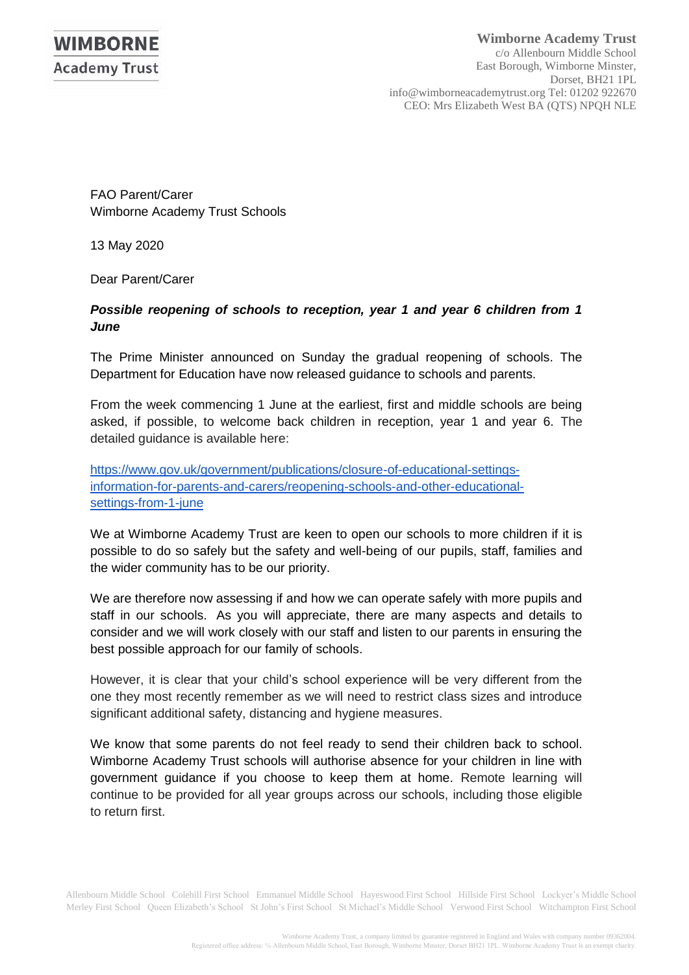FAO Parent/Carer Wimborne Academy Trust Schools

13 May 2020

Dear Parent/Carer

## *Possible reopening of schools to reception, year 1 and year 6 children from 1 June*

The Prime Minister announced on Sunday the gradual reopening of schools. The Department for Education have now released guidance to schools and parents.

From the week commencing 1 June at the earliest, first and middle schools are being asked, if possible, to welcome back children in reception, year 1 and year 6. The detailed guidance is available here:

[https://www.gov.uk/government/publications/closure-of-educational-settings](https://www.gov.uk/government/publications/closure-of-educational-settings-information-for-parents-and-carers/reopening-schools-and-other-educational-settings-from-1-june)[information-for-parents-and-carers/reopening-schools-and-other-educational](https://www.gov.uk/government/publications/closure-of-educational-settings-information-for-parents-and-carers/reopening-schools-and-other-educational-settings-from-1-june)[settings-from-1-june](https://www.gov.uk/government/publications/closure-of-educational-settings-information-for-parents-and-carers/reopening-schools-and-other-educational-settings-from-1-june)

We at Wimborne Academy Trust are keen to open our schools to more children if it is possible to do so safely but the safety and well-being of our pupils, staff, families and the wider community has to be our priority.

We are therefore now assessing if and how we can operate safely with more pupils and staff in our schools. As you will appreciate, there are many aspects and details to consider and we will work closely with our staff and listen to our parents in ensuring the best possible approach for our family of schools.

However, it is clear that your child's school experience will be very different from the one they most recently remember as we will need to restrict class sizes and introduce significant additional safety, distancing and hygiene measures.

We know that some parents do not feel ready to send their children back to school. Wimborne Academy Trust schools will authorise absence for your children in line with government guidance if you choose to keep them at home. Remote learning will continue to be provided for all year groups across our schools, including those eligible to return first.

Allenbourn Middle School Colehill First School Emmanuel Middle School Hayeswood First School Hillside First School Lockyer's Middle School Merley First School Queen Elizabeth's School St John's First School St Michael's Middle School Verwood First School Witchampton First School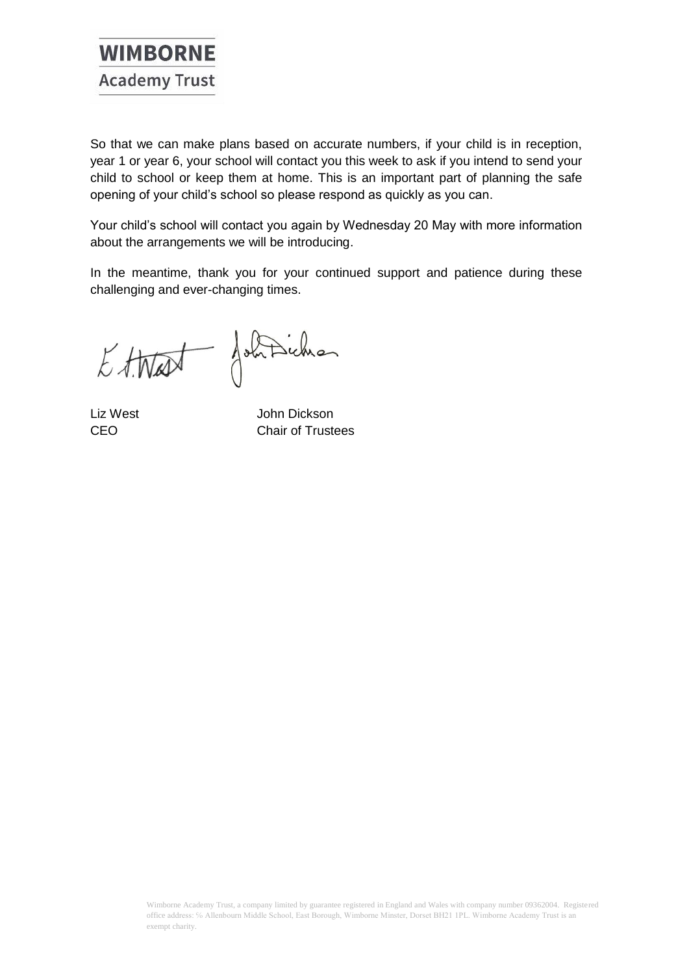

So that we can make plans based on accurate numbers, if your child is in reception, year 1 or year 6, your school will contact you this week to ask if you intend to send your child to school or keep them at home. This is an important part of planning the safe opening of your child's school so please respond as quickly as you can.

Your child's school will contact you again by Wednesday 20 May with more information about the arrangements we will be introducing.

In the meantime, thank you for your continued support and patience during these challenging and ever-changing times.

Ettest Johnsichen

Liz West John Dickson CEO Chair of Trustees